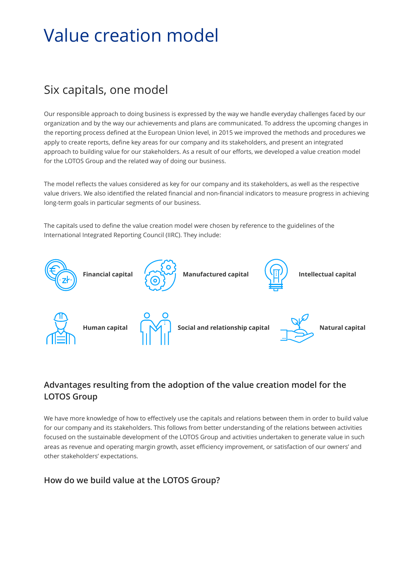## Value creation model

## Six capitals, one model

Our responsible approach to doing business is expressed by the way we handle everyday challenges faced by our organization and by the way our achievements and plans are communicated. To address the upcoming changes in the reporting process defined at the European Union level, in 2015 we improved the methods and procedures we apply to create reports, define key areas for our company and its stakeholders, and present an integrated approach to building value for our stakeholders. As a result of our efforts, we developed a value creation model for the LOTOS Group and the related way of doing our business.

The model reflects the values considered as key for our company and its stakeholders, as well as the respective value drivers. We also identified the related financial and non-financial indicators to measure progress in achieving long-term goals in particular segments of our business.

The capitals used to define the value creation model were chosen by reference to the guidelines of the International Integrated Reporting Council (IIRC). They include:



## **Advantages resulting from the adoption of the value creation model for the LOTOS Group**

We have more knowledge of how to effectively use the capitals and relations between them in order to build value for our company and its stakeholders. This follows from better understanding of the relations between activities focused on the sustainable development of the LOTOS Group and activities undertaken to generate value in such areas as revenue and operating margin growth, asset efficiency improvement, or satisfaction of our owners' and other stakeholders' expectations.

**How do we build value at the LOTOS Group?**